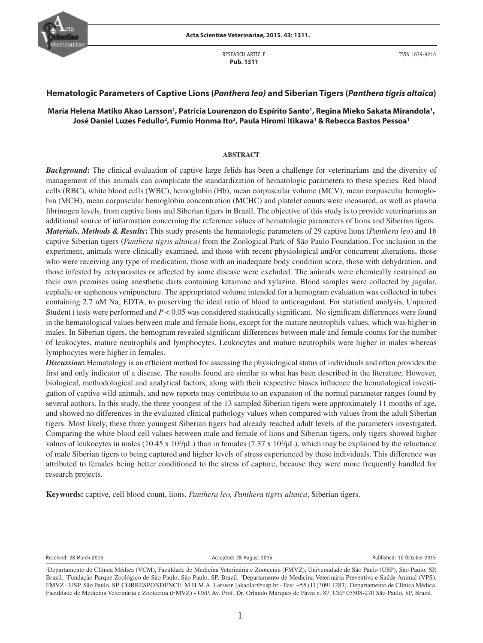

RESEARCH ARTICLE  **Pub. 1311**

### **Hematologic Parameters of Captive Lions (***Panthera leo)* **and Siberian Tigers (***Panthera tigris altaica***)**

# Maria Helena Matiko Akao Larsson<sup>1</sup>, Patrícia Lourenzon do Espírito Santo<sup>1</sup>, Regina Mieko Sakata Mirandola<sup>1</sup>, **José Daniel Luzes Fedullo2 , Fumio Honma Ito3 , Paula Hiromi Itikawa1 & Rebecca Bastos Pessoa1**

#### **ABSTRACT**

*Background***:** The clinical evaluation of captive large felids has been a challenge for veterinarians and the diversity of management of this animals can complicate the standardization of hematologic parameters to these species. Red blood cells (RBC), white blood cells (WBC), hemoglobin (Hb), mean corpuscular volume (MCV), mean corpuscular hemoglobin (MCH), mean corpuscular hemoglobin concentration (MCHC) and platelet counts were measured, as well as plasma fibrinogen levels, from captive lions and Siberian tigers in Brazil. The objective of this study is to provide veterinarians an additional source of information concerning the reference values of hematologic parameters of lions and Siberian tigers. *Materials, Methods & Results***:** This study presents the hematologic parameters of 29 captive lions (*Panthera leo*) and 16 captive Siberian tigers (*Panthera tigris altaica)* from the Zoological Park of São Paulo Foundation. For inclusion in the experiment, animals were clinically examined, and those with recent physiological and/or concurrent alterations, those who were receiving any type of medication, those with an inadequate body condition score, those with dehydration, and those infested by ectoparasites or affected by some disease were excluded. The animals were chemically restrained on their own premises using anesthetic darts containing ketamine and xylazine. Blood samples were collected by jugular, cephalic or saphenous venipuncture. The appropriated volume intended for a hemogram evaluation was collected in tubes containing 2.7 nM Na<sub>2</sub> EDTA, to preserving the ideal ratio of blood to anticoagulant. For statistical analysis, Unpaired Student t tests were performed and *P* < 0.05 was considered statistically significant. No significant differences were found in the hematological values between male and female lions, except for the mature neutrophils values, which was higher in males. In Siberian tigers, the hemogram revealed significant differences between male and female counts for the number of leukocytes, mature neutrophils and lymphocytes. Leukocytes and mature neutrophils were higher in males whereas lymphocytes were higher in females.

*Discussion***:** Hematology is an efficient method for assessing the physiological status of individuals and often provides the first and only indicator of a disease. The results found are similar to what has been described in the literature. However, biological, methodological and analytical factors, along with their respective biases influence the hematological investigation of captive wild animals, and new reports may contribute to an expansion of the normal parameter ranges found by several authors. In this study, the three youngest of the 13 sampled Siberian tigers were approximately 11 months of age, and showed no differences in the evaluated clinical pathology values when compared with values from the adult Siberian tigers. Most likely, these three youngest Siberian tigers had already reached adult levels of the parameters investigated. Comparing the white blood cell values between male and female of lions and Siberian tigers, only tigers showed higher values of leukocytes in males  $(10.45 \times 10^3/\mu L)$  than in females  $(7.37 \times 10^3/\mu L)$ , which may be explained by the reluctance of male Siberian tigers to being captured and higher levels of stress experienced by these individuals. This difference was attributed to females being better conditioned to the stress of capture, because they were more frequently handled for research projects.

**Keywords:** captive, cell blood count, lions, *Panthera leo, Panthera tigris altaica*, Siberian tigers.

Received: 28 March 2015 **Accepted: 28 August 2015** Accepted: 28 August 2015 **Published: 10 October 2015** 

<sup>1</sup> Departamento de Clínica Médica (VCM), Faculdade de Medicina Veterinária e Zootecnia (FMVZ), Universidade de São Paulo (USP), São Paulo, SP, Brazil. <sup>2</sup>Fundação Parque Zoológico de São Paulo, São Paulo, SP, Brazil. <sup>3</sup>Departamento de Medicina Veterinária Preventiva e Saúde Animal (VPS), FMVZ - USP, São Paulo, SP. CORRESPONDENCE: M.H.M.A. Larsson [akaolar@usp.br - Fax: +55 (11)30911283]. Departamento de Clínica Médica, Faculdade de Medicina Veterinária e Zootecnia (FMVZ) - USP. Av. Prof. Dr. Orlando Marques de Paiva n. 87. CEP 05508-270 São Paulo, SP, Brazil.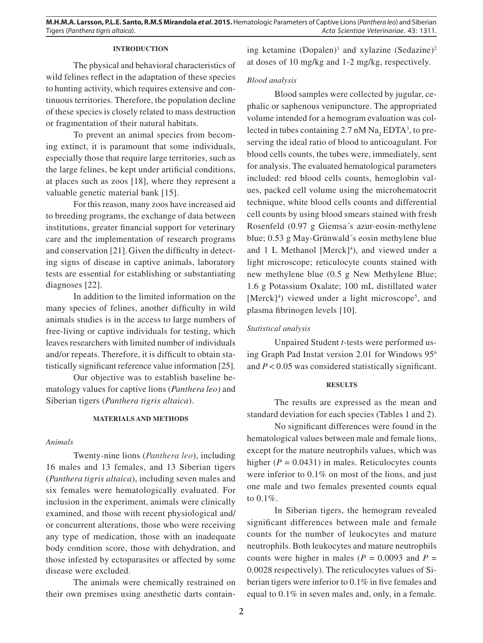# **INTRODUCTION**

The physical and behavioral characteristics of wild felines reflect in the adaptation of these species to hunting activity, which requires extensive and continuous territories. Therefore, the population decline of these species is closely related to mass destruction or fragmentation of their natural habitats.

To prevent an animal species from becoming extinct, it is paramount that some individuals, especially those that require large territories, such as the large felines, be kept under artificial conditions, at places such as zoos [18], where they represent a valuable genetic material bank [15].

For this reason, many zoos have increased aid to breeding programs, the exchange of data between institutions, greater financial support for veterinary care and the implementation of research programs and conservation [21].Given the difficulty in detecting signs of disease in captive animals, laboratory tests are essential for establishing or substantiating diagnoses [22].

In addition to the limited information on the many species of felines, another difficulty in wild animals studies is in the access to large numbers of free-living or captive individuals for testing, which leaves researchers with limited number of individuals and/or repeats. Therefore, it is difficult to obtain statistically significant reference value information [25].

Our objective was to establish baseline hematology values for captive lions (*Panthera leo)* and Siberian tigers (*Panthera tigris altaica*).

### **MATERIALS AND METHODS**

# *Animals*

Twenty-nine lions (*Panthera leo*), including 16 males and 13 females, and 13 Siberian tigers (*Panthera tigris altaica*), including seven males and six females were hematologically evaluated. For inclusion in the experiment, animals were clinically examined, and those with recent physiological and/ or concurrent alterations, those who were receiving any type of medication, those with an inadequate body condition score, those with dehydration, and those infested by ectoparasites or affected by some disease were excluded.

The animals were chemically restrained on their own premises using anesthetic darts contain-

ing ketamine  $(Dopalen)^1$  and xylazine  $(Sedazine)^2$ at doses of 10 mg/kg and 1-2 mg/kg, respectively.

#### *Blood analysis*

Blood samples were collected by jugular, cephalic or saphenous venipuncture. The appropriated volume intended for a hemogram evaluation was collected in tubes containing 2.7 nM  $\text{Na}_2$  EDTA<sup>3</sup>, to preserving the ideal ratio of blood to anticoagulant. For blood cells counts, the tubes were, immediately, sent for analysis. The evaluated hematological parameters included: red blood cells counts, hemoglobin values, packed cell volume using the microhematocrit technique, white blood cells counts and differential cell counts by using blood smears stained with fresh Rosenfeld (0.97 g Giemsa´s azur-eosin-methylene blue; 0.53 g May-Grünwald´s eosin methylene blue and 1 L Methanol [Merck] $4$ ), and viewed under a light microscope; reticulocyte counts stained with new methylene blue (0.5 g New Methylene Blue; 1.6 g Potassium Oxalate; 100 mL distillated water [Merck]<sup>4</sup>) viewed under a light microscope<sup>5</sup>, and plasma fibrinogen levels [10].

### *Statistical analysis*

Unpaired Student *t*-tests were performed using Graph Pad Instat version 2.01 for Windows 956 and *P* < 0.05 was considered statistically significant.

#### **RESULTS**

The results are expressed as the mean and standard deviation for each species (Tables 1 and 2).

No significant differences were found in the hematological values between male and female lions, except for the mature neutrophils values, which was higher  $(P = 0.0431)$  in males. Reticulocytes counts were inferior to 0.1% on most of the lions, and just one male and two females presented counts equal to 0.1%.

In Siberian tigers, the hemogram revealed significant differences between male and female counts for the number of leukocytes and mature neutrophils. Both leukocytes and mature neutrophils counts were higher in males ( $P = 0.0093$  and  $P =$ 0.0028 respectively). The reticulocytes values of Siberian tigers were inferior to 0.1% in five females and equal to 0.1% in seven males and, only, in a female.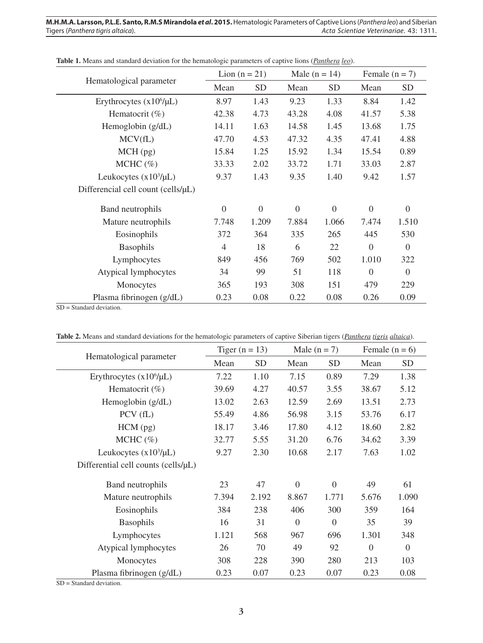| Hematological parameter            | Lion $(n = 21)$ |                | Male $(n = 14)$  |                | Female $(n = 7)$ |                |
|------------------------------------|-----------------|----------------|------------------|----------------|------------------|----------------|
|                                    | Mean            | <b>SD</b>      | Mean             | <b>SD</b>      | Mean             | <b>SD</b>      |
| Erythrocytes $(x10^6/\mu L)$       | 8.97            | 1.43           | 9.23             | 1.33           | 8.84             | 1.42           |
| Hematocrit $(\%)$                  | 42.38           | 4.73           | 43.28            | 4.08           | 41.57            | 5.38           |
| Hemoglobin (g/dL)                  | 14.11           | 1.63           | 14.58            | 1.45           | 13.68            | 1.75           |
| MCV(fL)                            | 47.70           | 4.53           | 47.32            | 4.35           | 47.41            | 4.88           |
| MCH (pg)                           | 15.84           | 1.25           | 15.92            | 1.34           | 15.54            | 0.89           |
| $MCHC$ (%)                         | 33.33           | 2.02           | 33.72            | 1.71           | 33.03            | 2.87           |
| Leukocytes $(x10^3/\mu L)$         | 9.37            | 1.43           | 9.35             | 1.40           | 9.42             | 1.57           |
| Differencial cell count (cells/µL) |                 |                |                  |                |                  |                |
| Band neutrophils                   | $\overline{0}$  | $\overline{0}$ | $\boldsymbol{0}$ | $\overline{0}$ | $\overline{0}$   | $\Omega$       |
| Mature neutrophils                 | 7.748           | 1.209          | 7.884            | 1.066          | 7.474            | 1.510          |
| Eosinophils                        | 372             | 364            | 335              | 265            | 445              | 530            |
| Basophils                          | $\overline{4}$  | 18             | 6                | 22             | $\overline{0}$   | $\overline{0}$ |
| Lymphocytes                        | 849             | 456            | 769              | 502            | 1.010            | 322            |
| Atypical lymphocytes               | 34              | 99             | 51               | 118            | $\theta$         | $\Omega$       |
| Monocytes                          | 365             | 193            | 308              | 151            | 479              | 229            |
| Plasma fibrinogen (g/dL)           | 0.23            | 0.08           | 0.22             | 0.08           | 0.26             | 0.09           |

**Table 1.** Means and standard deviation for the hematologic parameters of captive lions (*Panthera leo*).

SD = Standard deviation.

**Table 2.** Means and standard deviations for the hematologic parameters of captive Siberian tigers (*Panthera tigris altaica*).

| Hematological parameter             | Tiger $(n = 13)$ |           | Male $(n = 7)$ |                | Female $(n = 6)$ |                |
|-------------------------------------|------------------|-----------|----------------|----------------|------------------|----------------|
|                                     | Mean             | <b>SD</b> | Mean           | <b>SD</b>      | Mean             | <b>SD</b>      |
| Erythrocytes $(x10^6/\mu L)$        | 7.22             | 1.10      | 7.15           | 0.89           | 7.29             | 1.38           |
| Hematocrit $(\% )$                  | 39.69            | 4.27      | 40.57          | 3.55           | 38.67            | 5.12           |
| Hemoglobin (g/dL)                   | 13.02            | 2.63      | 12.59          | 2.69           | 13.51            | 2.73           |
| PCV(fL)                             | 55.49            | 4.86      | 56.98          | 3.15           | 53.76            | 6.17           |
| HCM (pg)                            | 18.17            | 3.46      | 17.80          | 4.12           | 18.60            | 2.82           |
| $MCHC$ (%)                          | 32.77            | 5.55      | 31.20          | 6.76           | 34.62            | 3.39           |
| Leukocytes $(x10^3/\mu L)$          | 9.27             | 2.30      | 10.68          | 2.17           | 7.63             | 1.02           |
| Differential cell counts (cells/µL) |                  |           |                |                |                  |                |
| Band neutrophils                    | 23               | 47        | $\overline{0}$ | $\overline{0}$ | 49               | 61             |
| Mature neutrophils                  | 7.394            | 2.192     | 8.867          | 1.771          | 5.676            | 1.090          |
| Eosinophils                         | 384              | 238       | 406            | 300            | 359              | 164            |
| <b>Basophils</b>                    | 16               | 31        | $\overline{0}$ | $\Omega$       | 35               | 39             |
| Lymphocytes                         | 1.121            | 568       | 967            | 696            | 1.301            | 348            |
| Atypical lymphocytes                | 26               | 70        | 49             | 92             | $\theta$         | $\overline{0}$ |
| Monocytes                           | 308              | 228       | 390            | 280            | 213              | 103            |
| Plasma fibrinogen (g/dL)            | 0.23             | 0.07      | 0.23           | 0.07           | 0.23             | 0.08           |

SD = Standard deviation.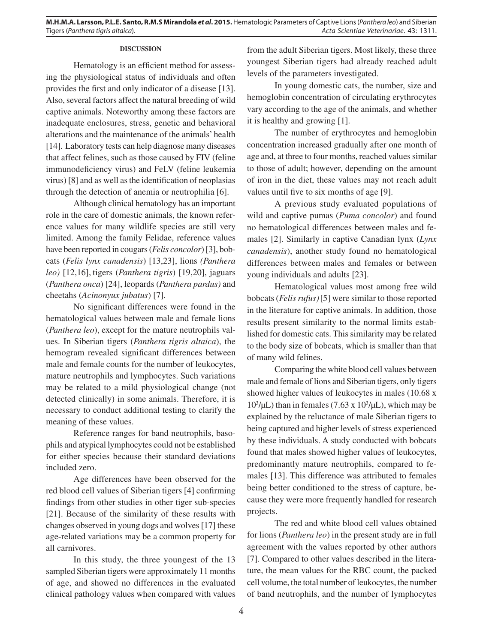### **DISCUSSION**

Hematology is an efficient method for assessing the physiological status of individuals and often provides the first and only indicator of a disease [13]. Also, several factors affect the natural breeding of wild captive animals. Noteworthy among these factors are inadequate enclosures, stress, genetic and behavioral alterations and the maintenance of the animals' health [14]. Laboratory tests can help diagnose many diseases that affect felines, such as those caused by FIV (feline immunodeficiency virus) and FeLV (feline leukemia virus) [8] and as well as the identification of neoplasias through the detection of anemia or neutrophilia [6].

Although clinical hematology has an important role in the care of domestic animals, the known reference values for many wildlife species are still very limited. Among the family Felidae, reference values have been reported in cougars (*Felis concolor*) [3], bobcats (*Felis lynx canadensis*) [13,23], lions *(Panthera leo)* [12,16], tigers (*Panthera tigris*) [19,20], jaguars (*Panthera onca*) [24], leopards (*Panthera pardus)* and cheetahs (*Acinonyux jubatus*) [7].

No significant differences were found in the hematological values between male and female lions (*Panthera leo*), except for the mature neutrophils values. In Siberian tigers (*Panthera tigris altaica*), the hemogram revealed significant differences between male and female counts for the number of leukocytes, mature neutrophils and lymphocytes. Such variations may be related to a mild physiological change (not detected clinically) in some animals. Therefore, it is necessary to conduct additional testing to clarify the meaning of these values.

Reference ranges for band neutrophils, basophils and atypical lymphocytes could not be established for either species because their standard deviations included zero.

Age differences have been observed for the red blood cell values of Siberian tigers [4] confirming findings from other studies in other tiger sub-species [21]. Because of the similarity of these results with changes observed in young dogs and wolves [17] these age-related variations may be a common property for all carnivores.

In this study, the three youngest of the 13 sampled Siberian tigers were approximately 11 months of age, and showed no differences in the evaluated clinical pathology values when compared with values from the adult Siberian tigers. Most likely, these three youngest Siberian tigers had already reached adult levels of the parameters investigated.

In young domestic cats, the number, size and hemoglobin concentration of circulating erythrocytes vary according to the age of the animals, and whether it is healthy and growing [1].

The number of erythrocytes and hemoglobin concentration increased gradually after one month of age and, at three to four months, reached values similar to those of adult; however, depending on the amount of iron in the diet, these values may not reach adult values until five to six months of age [9].

A previous study evaluated populations of wild and captive pumas (*Puma concolor*) and found no hematological differences between males and females [2]. Similarly in captive Canadian lynx (*Lynx canadensis*), another study found no hematological differences between males and females or between young individuals and adults [23].

Hematological values most among free wild bobcats (*Felis rufus)*[5] were similar to those reported in the literature for captive animals. In addition, those results present similarity to the normal limits established for domestic cats. This similarity may be related to the body size of bobcats, which is smaller than that of many wild felines.

Comparing the white blood cell values between male and female of lions and Siberian tigers, only tigers showed higher values of leukocytes in males (10.68 x  $10<sup>3</sup>/μL$ ) than in females (7.63 x  $10<sup>3</sup>/μL$ ), which may be explained by the reluctance of male Siberian tigers to being captured and higher levels of stress experienced by these individuals. A study conducted with bobcats found that males showed higher values of leukocytes, predominantly mature neutrophils, compared to females [13]. This difference was attributed to females being better conditioned to the stress of capture, because they were more frequently handled for research projects.

The red and white blood cell values obtained for lions (*Panthera leo*) in the present study are in full agreement with the values reported by other authors [7]. Compared to other values described in the literature, the mean values for the RBC count, the packed cell volume, the total number of leukocytes, the number of band neutrophils, and the number of lymphocytes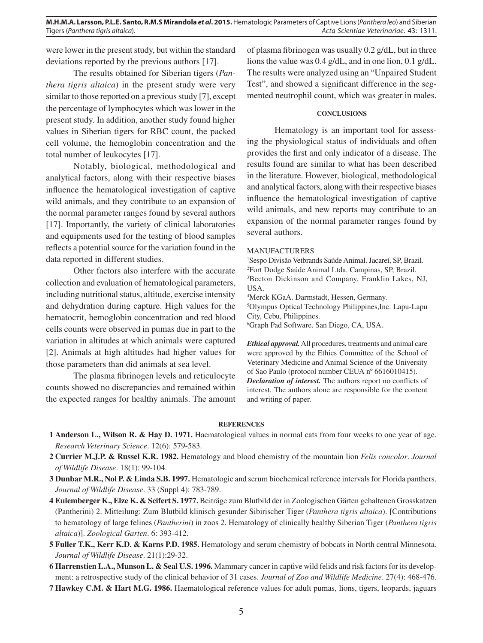were lower in the present study, but within the standard deviations reported by the previous authors [17].

The results obtained for Siberian tigers (*Panthera tigris altaica*) in the present study were very similar to those reported on a previous study [7], except the percentage of lymphocytes which was lower in the present study. In addition, another study found higher values in Siberian tigers for RBC count, the packed cell volume, the hemoglobin concentration and the total number of leukocytes [17].

Notably, biological, methodological and analytical factors, along with their respective biases influence the hematological investigation of captive wild animals, and they contribute to an expansion of the normal parameter ranges found by several authors [17]. Importantly, the variety of clinical laboratories and equipments used for the testing of blood samples reflects a potential source for the variation found in the data reported in different studies.

Other factors also interfere with the accurate collection and evaluation of hematological parameters, including nutritional status, altitude, exercise intensity and dehydration during capture. High values for the hematocrit, hemoglobin concentration and red blood cells counts were observed in pumas due in part to the variation in altitudes at which animals were captured [2]. Animals at high altitudes had higher values for those parameters than did animals at sea level.

The plasma fibrinogen levels and reticulocyte counts showed no discrepancies and remained within the expected ranges for healthy animals. The amount of plasma fibrinogen was usually 0.2 g/dL, but in three lions the value was 0.4 g/dL, and in one lion, 0.1 g/dL. The results were analyzed using an "Unpaired Student Test", and showed a significant difference in the segmented neutrophil count, which was greater in males.

# **CONCLUSIONS**

Hematology is an important tool for assessing the physiological status of individuals and often provides the first and only indicator of a disease. The results found are similar to what has been described in the literature. However, biological, methodological and analytical factors, along with their respective biases influence the hematological investigation of captive wild animals, and new reports may contribute to an expansion of the normal parameter ranges found by several authors.

#### MANUFACTURERS

 Sespo Divisão Vetbrands Saúde Animal. Jacareí, SP, Brazil. Fort Dodge Saúde Animal Ltda. Campinas, SP, Brazil. Becton Dickinson and Company. Franklin Lakes, NJ, USA. Merck KGaA. Darmstadt, Hessen, Germany.

5 Olympus Optical Technology Philippines,Inc. Lapu-Lapu City, Cebu, Philippines.

6 Graph Pad Software. San Diego, CA, USA.

*Ethical approval.* All procedures, treatments and animal care were approved by the Ethics Committee of the School of Veterinary Medicine and Animal Science of the University of Sao Paulo (protocol number CEUA nº 6616010415). *Declaration of interest.* The authors report no conflicts of interest. The authors alone are responsible for the content and writing of paper.

#### **REFERENCES**

- **1 Anderson L., Wilson R. & Hay D. 1971.** Haematological values in normal cats from four weeks to one year of age. *Research Veterinary Science*. 12(6): 579-583.
- **2 Currier M.J.P. & Russel K.R. 1982.** Hematology and blood chemistry of the mountain lion *Felis concolor*. *Journal of Wildlife Disease*. 18(1): 99-104.
- **3 Dunbar M.R., Nol P. & Linda S.B. 1997.** Hematologic and serum biochemical reference intervals for Florida panthers. *Journal of Wildlife Disease*. 33 (Suppl 4): 783-789.
- **4 Eulemberger K., Elze K. & Scifert S. 1977.** Beiträge zum Blutbild der in Zoologischen Gärten gehaltenen Grosskatzen (Pantherini) 2. Mitteilung: Zum Blutbild klinisch gesunder Sibirischer Tiger (*Panthera tigris altaica*). [Contributions to hematology of large felines (*Pantherini*) in zoos 2. Hematology of clinically healthy Siberian Tiger (*Panthera tigris altaica*)]. *Zoological Garten*. 6: 393-412.
- **5 Fuller T.K., Kerr K.D. & Karns P.D. 1985.** Hematology and serum chemistry of bobcats in North central Minnesota. *Journal of Wildlife Disease*. 21(1):29-32.
- **6 Harrenstien L.A., Munson L. & Seal U.S. 1996.** Mammary cancer in captive wild felids and risk factors for its development: a retrospective study of the clinical behavior of 31 cases. *Journal of Zoo and Wildlife Medicine*. 27(4): 468-476.
- **7 Hawkey C.M. & Hart M.G. 1986.** Haematological reference values for adult pumas, lions, tigers, leopards, jaguars